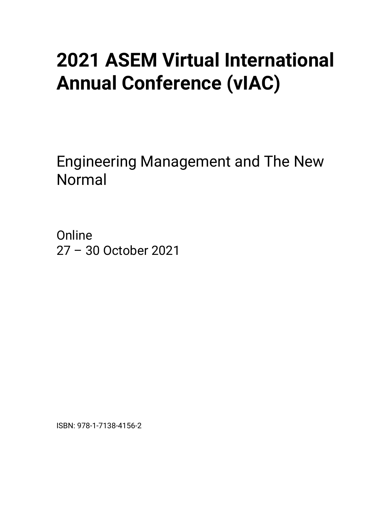## • **2021 ASEM Virtual International Annual Conference (vIAC)**

Engineering Management and The New Normal

Online 27 – 30 October 2021

ISBN: 978-1-7138-4156-2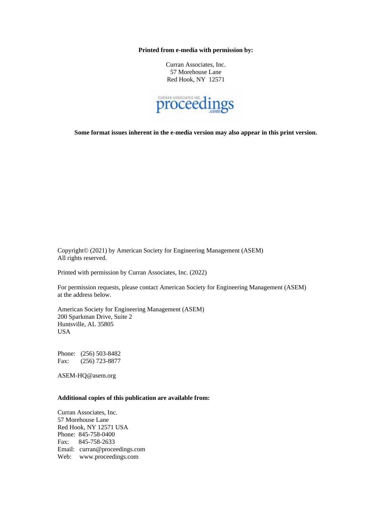**Printed from e-media with permission by:**

Curran Associates, Inc. 57 Morehouse Lane Red Hook, NY 12571



**Some format issues inherent in the e-media version may also appear in this print version.**

Copyright© (2021) by American Society for Engineering Management (ASEM) All rights reserved.

Printed with permission by Curran Associates, Inc. (2022)

For permission requests, please contact American Society for Engineering Management (ASEM) at the address below.

American Society for Engineering Management (ASEM) 200 Sparkman Drive, Suite 2 Huntsville, AL 35805 USA

Phone: (256) 503-8482 Fax: (256) 723-8877

ASEM-HQ@asem.org

## **Additional copies of this publication are available from:**

Curran Associates, Inc. 57 Morehouse Lane Red Hook, NY 12571 USA Phone: 845-758-0400 Fax: 845-758-2633 Email: curran@proceedings.com Web: www.proceedings.com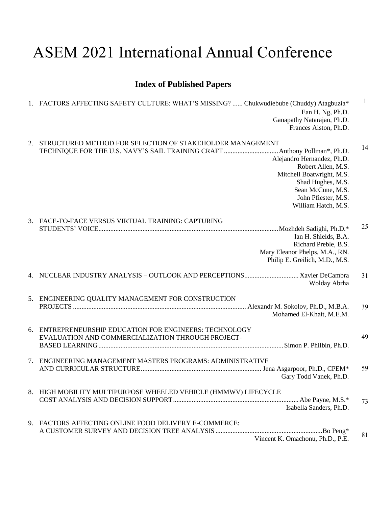## ASEM 2021 International Annual Conference

## **Index of Published Papers**

|    | 1. FACTORS AFFECTING SAFETY CULTURE: WHAT'S MISSING?  Chukwudiebube (Chuddy) Atagbuzia*<br>Ean H. Ng, Ph.D.<br>Ganapathy Natarajan, Ph.D.<br>Frances Alston, Ph.D.                                                                 | 1  |
|----|------------------------------------------------------------------------------------------------------------------------------------------------------------------------------------------------------------------------------------|----|
| 2. | STRUCTURED METHOD FOR SELECTION OF STAKEHOLDER MANAGEMENT<br>Alejandro Hernandez, Ph.D.<br>Robert Allen, M.S.<br>Mitchell Boatwright, M.S.<br>Shad Hughes, M.S.<br>Sean McCune, M.S.<br>John Pfiester, M.S.<br>William Hatch, M.S. | 14 |
| 3. | FACE-TO-FACE VERSUS VIRTUAL TRAINING: CAPTURING<br>Ian H. Shields, B.A.<br>Richard Preble, B.S.<br>Mary Eleanor Phelps, M.A., RN.<br>Philip E. Greilich, M.D., M.S.                                                                | 25 |
|    | Wolday Abrha                                                                                                                                                                                                                       | 31 |
| 5. | ENGINEERING QUALITY MANAGEMENT FOR CONSTRUCTION<br>Mohamed El-Khait, M.E.M.                                                                                                                                                        | 39 |
| 6. | ENTREPRENEURSHIP EDUCATION FOR ENGINEERS: TECHNOLOGY<br>EVALUATION AND COMMERCIALIZATION THROUGH PROJECT-                                                                                                                          | 49 |
| 7. | ENGINEERING MANAGEMENT MASTERS PROGRAMS: ADMINISTRATIVE<br>Gary Todd Vanek, Ph.D.                                                                                                                                                  | 59 |
|    | 8. HIGH MOBILITY MULTIPURPOSE WHEELED VEHICLE (HMMWV) LIFECYCLE<br>Isabella Sanders, Ph.D.                                                                                                                                         | 73 |
|    | 9. FACTORS AFFECTING ONLINE FOOD DELIVERY E-COMMERCE:<br>Vincent K. Omachonu, Ph.D., P.E.                                                                                                                                          | 81 |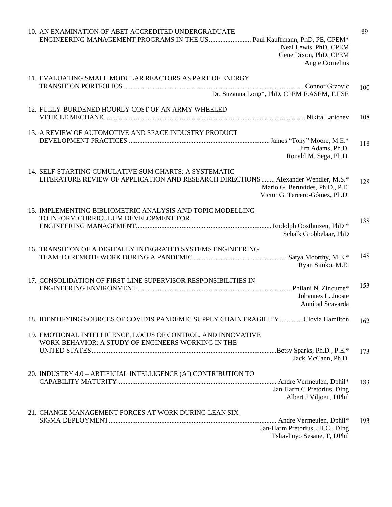| 10. AN EXAMINATION OF ABET ACCREDITED UNDERGRADUATE<br>ENGINEERING MANAGEMENT PROGRAMS IN THE US Paul Kauffmann, PhD, PE, CPEM*<br>Neal Lewis, PhD, CPEM<br>Gene Dixon, PhD, CPEM<br>Angie Cornelius | 89  |
|------------------------------------------------------------------------------------------------------------------------------------------------------------------------------------------------------|-----|
| 11. EVALUATING SMALL MODULAR REACTORS AS PART OF ENERGY                                                                                                                                              | 100 |
| Dr. Suzanna Long*, PhD, CPEM F.ASEM, F.IISE                                                                                                                                                          |     |
| 12. FULLY-BURDENED HOURLY COST OF AN ARMY WHEELED                                                                                                                                                    | 108 |
| 13. A REVIEW OF AUTOMOTIVE AND SPACE INDUSTRY PRODUCT                                                                                                                                                |     |
| Jim Adams, Ph.D.<br>Ronald M. Sega, Ph.D.                                                                                                                                                            | 118 |
| 14. SELF-STARTING CUMULATIVE SUM CHARTS: A SYSTEMATIC<br>LITERATURE REVIEW OF APPLICATION AND RESEARCH DIRECTIONS  Alexander Wendler, M.S.*                                                          |     |
| Mario G. Beruvides, Ph.D., P.E.<br>Victor G. Tercero-Gómez, Ph.D.                                                                                                                                    | 128 |
| 15. IMPLEMENTING BIBLIOMETRIC ANALYSIS AND TOPIC MODELLING<br>TO INFORM CURRICULUM DEVELOPMENT FOR                                                                                                   |     |
| Schalk Grobbelaar, PhD                                                                                                                                                                               | 138 |
| 16. TRANSITION OF A DIGITALLY INTEGRATED SYSTEMS ENGINEERING                                                                                                                                         | 148 |
| Ryan Simko, M.E.                                                                                                                                                                                     |     |
| 17. CONSOLIDATION OF FIRST-LINE SUPERVISOR RESPONSIBILITIES IN<br>Johannes L. Jooste                                                                                                                 | 153 |
| Annibal Scavarda                                                                                                                                                                                     |     |
| 18. IDENTIFYING SOURCES OF COVID19 PANDEMIC SUPPLY CHAIN FRAGILITY Clovia Hamilton                                                                                                                   | 162 |
| 19. EMOTIONAL INTELLIGENCE, LOCUS OF CONTROL, AND INNOVATIVE<br>WORK BEHAVIOR: A STUDY OF ENGINEERS WORKING IN THE                                                                                   |     |
| Jack McCann, Ph.D.                                                                                                                                                                                   | 173 |
| 20. INDUSTRY 4.0 - ARTIFICIAL INTELLIGENCE (AI) CONTRIBUTION TO                                                                                                                                      | 183 |
| Jan Harm C Pretorius, DIng<br>Albert J Viljoen, DPhil                                                                                                                                                |     |
| 21. CHANGE MANAGEMENT FORCES AT WORK DURING LEAN SIX                                                                                                                                                 | 193 |
| Jan-Harm Pretorius, JH.C., DIng<br>Tshavhuyo Sesane, T, DPhil                                                                                                                                        |     |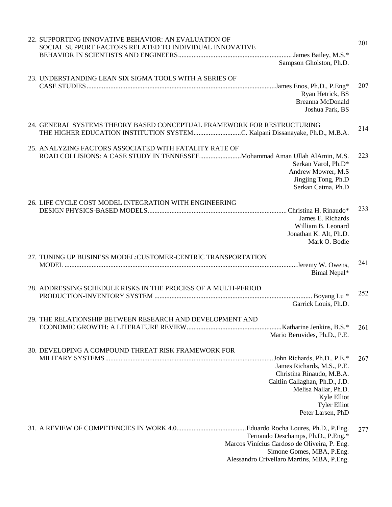| 22. SUPPORTING INNOVATIVE BEHAVIOR: AN EVALUATION OF<br>SOCIAL SUPPORT FACTORS RELATED TO INDIVIDUAL INNOVATIVE                                                                                                                     | 201 |
|-------------------------------------------------------------------------------------------------------------------------------------------------------------------------------------------------------------------------------------|-----|
| Sampson Gholston, Ph.D.                                                                                                                                                                                                             |     |
| 23. UNDERSTANDING LEAN SIX SIGMA TOOLS WITH A SERIES OF<br>Ryan Hetrick, BS<br>Breanna McDonald<br>Joshua Park, BS                                                                                                                  | 207 |
| 24. GENERAL SYSTEMS THEORY BASED CONCEPTUAL FRAMEWORK FOR RESTRUCTURING<br>THE HIGHER EDUCATION INSTITUTION SYSTEMC. Kalpani Dissanayake, Ph.D., M.B.A.                                                                             | 214 |
| 25. ANALYZING FACTORS ASSOCIATED WITH FATALITY RATE OF<br>ROAD COLLISIONS: A CASE STUDY IN TENNESSEE  Mohammad Aman Ullah AlAmin, M.S.<br>Serkan Varol, Ph.D*<br>Andrew Mowrer, M.S.<br>Jingjing Tong, Ph.D<br>Serkan Catma, Ph.D   | 223 |
| 26. LIFE CYCLE COST MODEL INTEGRATION WITH ENGINEERING<br>James E. Richards<br>William B. Leonard<br>Jonathan K. Alt, Ph.D.<br>Mark O. Bodie                                                                                        | 233 |
| 27. TUNING UP BUSINESS MODEL: CUSTOMER-CENTRIC TRANSPORTATION<br>Bimal Nepal*                                                                                                                                                       | 241 |
| 28. ADDRESSING SCHEDULE RISKS IN THE PROCESS OF A MULTI-PERIOD<br>Garrick Louis, Ph.D.                                                                                                                                              | 252 |
| 29. THE RELATIONSHIP BETWEEN RESEARCH AND DEVELOPMENT AND<br>Mario Beruvides, Ph.D., P.E.                                                                                                                                           | 261 |
| 30. DEVELOPING A COMPOUND THREAT RISK FRAMEWORK FOR<br>James Richards, M.S., P.E.<br>Christina Rinaudo, M.B.A.<br>Caitlin Callaghan, Ph.D., J.D.<br>Melisa Nallar, Ph.D.<br>Kyle Elliot<br><b>Tyler Elliot</b><br>Peter Larsen, PhD | 267 |
| Fernando Deschamps, Ph.D., P.Eng.*<br>Marcos Vinícius Cardoso de Oliveira, P. Eng.<br>Simone Gomes, MBA, P.Eng.<br>Alessandro Crivellaro Martins, MBA, P.Eng.                                                                       | 277 |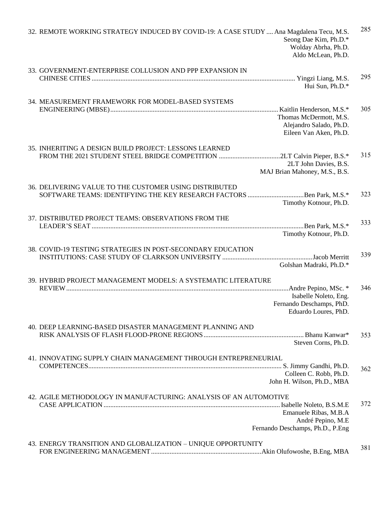| 32. REMOTE WORKING STRATEGY INDUCED BY COVID-19: A CASE STUDY  Ana Magdalena Tecu, M.S.<br>Seong Dae Kim, Ph.D.*<br>Wolday Abrha, Ph.D.<br>Aldo McLean, Ph.D. | 285 |
|---------------------------------------------------------------------------------------------------------------------------------------------------------------|-----|
| 33. GOVERNMENT-ENTERPRISE COLLUSION AND PPP EXPANSION IN                                                                                                      |     |
| Hui Sun, Ph.D.*                                                                                                                                               | 295 |
| 34. MEASUREMENT FRAMEWORK FOR MODEL-BASED SYSTEMS                                                                                                             |     |
| Thomas McDermott, M.S.<br>Alejandro Salado, Ph.D.<br>Eileen Van Aken, Ph.D.                                                                                   | 305 |
| 35. INHERITING A DESIGN BUILD PROJECT: LESSONS LEARNED                                                                                                        |     |
| 2LT John Davies, B.S.<br>MAJ Brian Mahoney, M.S., B.S.                                                                                                        | 315 |
| 36. DELIVERING VALUE TO THE CUSTOMER USING DISTRIBUTED                                                                                                        |     |
| SOFTWARE TEAMS: IDENTIFYING THE KEY RESEARCH FACTORS Ben Park, M.S.*<br>Timothy Kotnour, Ph.D.                                                                | 323 |
| 37. DISTRIBUTED PROJECT TEAMS: OBSERVATIONS FROM THE                                                                                                          | 333 |
| Timothy Kotnour, Ph.D.                                                                                                                                        |     |
| 38. COVID-19 TESTING STRATEGIES IN POST-SECONDARY EDUCATION                                                                                                   | 339 |
| Golshan Madraki, Ph.D.*                                                                                                                                       |     |
| 39. HYBRID PROJECT MANAGEMENT MODELS: A SYSTEMATIC LITERATURE                                                                                                 | 346 |
| Isabelle Noleto, Eng.                                                                                                                                         |     |
| Fernando Deschamps, PhD.<br>Eduardo Loures, PhD.                                                                                                              |     |
| 40. DEEP LEARNING-BASED DISASTER MANAGEMENT PLANNING AND                                                                                                      |     |
| Steven Corns, Ph.D.                                                                                                                                           | 353 |
| 41. INNOVATING SUPPLY CHAIN MANAGEMENT THROUGH ENTREPRENEURIAL                                                                                                |     |
| Colleen C. Robb, Ph.D.                                                                                                                                        | 362 |
| John H. Wilson, Ph.D., MBA                                                                                                                                    |     |
| 42. AGILE METHODOLOGY IN MANUFACTURING: ANALYSIS OF AN AUTOMOTIVE                                                                                             | 372 |
| Emanuele Ribas, M.B.A<br>André Pepino, M.E<br>Fernando Deschamps, Ph.D., P.Eng                                                                                |     |
|                                                                                                                                                               |     |
| 43. ENERGY TRANSITION AND GLOBALIZATION - UNIQUE OPPORTUNITY                                                                                                  | 381 |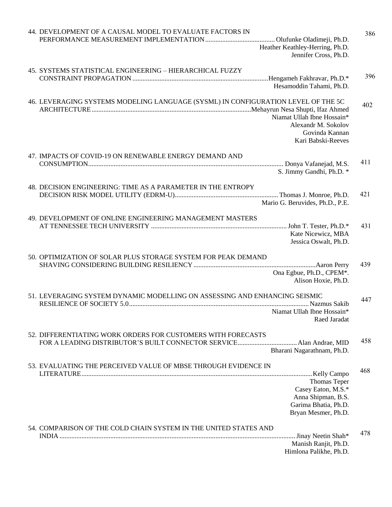| 44. DEVELOPMENT OF A CAUSAL MODEL TO EVALUATE FACTORS IN                                                                                                                       | 386 |
|--------------------------------------------------------------------------------------------------------------------------------------------------------------------------------|-----|
| Heather Keathley-Herring, Ph.D.<br>Jennifer Cross, Ph.D.                                                                                                                       |     |
|                                                                                                                                                                                |     |
| 45. SYSTEMS STATISTICAL ENGINEERING - HIERARCHICAL FUZZY                                                                                                                       | 396 |
| Hesamoddin Tahami, Ph.D.                                                                                                                                                       |     |
| 46. LEVERAGING SYSTEMS MODELING LANGUAGE (SYSML) IN CONFIGURATION LEVEL OF THE 5C<br>Niamat Ullah Ibne Hossain*<br>Alexandr M. Sokolov<br>Govinda Kannan<br>Kari Babski-Reeves | 402 |
| 47. IMPACTS OF COVID-19 ON RENEWABLE ENERGY DEMAND AND                                                                                                                         |     |
| S. Jimmy Gandhi, Ph.D. *                                                                                                                                                       | 411 |
| 48. DECISION ENGINEERING: TIME AS A PARAMETER IN THE ENTROPY                                                                                                                   |     |
| Mario G. Beruvides, Ph.D., P.E.                                                                                                                                                | 421 |
| 49. DEVELOPMENT OF ONLINE ENGINEERING MANAGEMENT MASTERS                                                                                                                       |     |
|                                                                                                                                                                                | 431 |
| Kate Nicewicz, MBA<br>Jessica Oswalt, Ph.D.                                                                                                                                    |     |
| 50. OPTIMIZATION OF SOLAR PLUS STORAGE SYSTEM FOR PEAK DEMAND                                                                                                                  |     |
|                                                                                                                                                                                | 439 |
| Ona Egbue, Ph.D., CPEM*.<br>Alison Hoxie, Ph.D.                                                                                                                                |     |
| 51. LEVERAGING SYSTEM DYNAMIC MODELLING ON ASSESSING AND ENHANCING SEISMIC                                                                                                     | 447 |
| Niamat Ullah Ibne Hossain*<br>Raed Jaradat                                                                                                                                     |     |
| 52. DIFFERENTIATING WORK ORDERS FOR CUSTOMERS WITH FORECASTS                                                                                                                   |     |
| Bharani Nagarathnam, Ph.D.                                                                                                                                                     | 458 |
|                                                                                                                                                                                |     |
| 53. EVALUATING THE PERCEIVED VALUE OF MBSE THROUGH EVIDENCE IN                                                                                                                 | 468 |
| Thomas Teper                                                                                                                                                                   |     |
| Casey Eaton, M.S.*                                                                                                                                                             |     |
| Anna Shipman, B.S.<br>Garima Bhatia, Ph.D.                                                                                                                                     |     |
| Bryan Mesmer, Ph.D.                                                                                                                                                            |     |
| 54. COMPARISON OF THE COLD CHAIN SYSTEM IN THE UNITED STATES AND                                                                                                               |     |
| . Jinay Neetin Shah*                                                                                                                                                           | 478 |
| Manish Ranjit, Ph.D.<br>Himlona Palikhe, Ph.D.                                                                                                                                 |     |
|                                                                                                                                                                                |     |